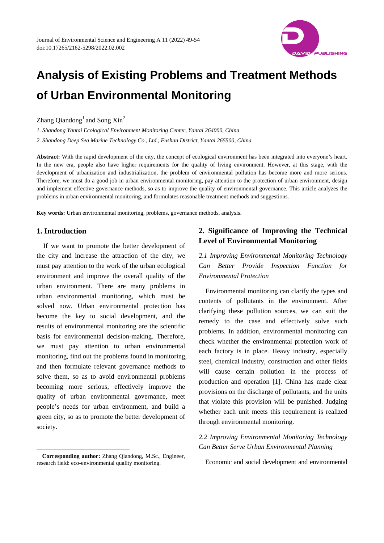

# **Analysis of Existing Problems and Treatment Methods of Urban Environmental Monitoring**

Zhang Qiandong<sup>1</sup> and Song  $\mathrm{Xin}^2$ 

*1. Shandong Yantai Ecological Environment Monitoring Center, Yantai 264000, China* 

*2. Shandong Deep Sea Marine Technology Co., Ltd., Fushan District, Yantai 265500, China* 

**Abstract:** With the rapid development of the city, the concept of ecological environment has been integrated into everyone's heart. In the new era, people also have higher requirements for the quality of living environment. However, at this stage, with the development of urbanization and industrialization, the problem of environmental pollution has become more and more serious. Therefore, we must do a good job in urban environmental monitoring, pay attention to the protection of urban environment, design and implement effective governance methods, so as to improve the quality of environmental governance. This article analyzes the problems in urban environmental monitoring, and formulates reasonable treatment methods and suggestions.

**Key words:** Urban environmental monitoring, problems, governance methods, analysis.

#### **1. Introduction**

 $\overline{a}$ 

If we want to promote the better development of the city and increase the attraction of the city, we must pay attention to the work of the urban ecological environment and improve the overall quality of the urban environment. There are many problems in urban environmental monitoring, which must be solved now. Urban environmental protection has become the key to social development, and the results of environmental monitoring are the scientific basis for environmental decision-making. Therefore, we must pay attention to urban environmental monitoring, find out the problems found in monitoring, and then formulate relevant governance methods to solve them, so as to avoid environmental problems becoming more serious, effectively improve the quality of urban environmental governance, meet people's needs for urban environment, and build a green city, so as to promote the better development of society.

## **2. Significance of Improving the Technical Level of Environmental Monitoring**

*2.1 Improving Environmental Monitoring Technology Can Better Provide Inspection Function for Environmental Protection* 

Environmental monitoring can clarify the types and contents of pollutants in the environment. After clarifying these pollution sources, we can suit the remedy to the case and effectively solve such problems. In addition, environmental monitoring can check whether the environmental protection work of each factory is in place. Heavy industry, especially steel, chemical industry, construction and other fields will cause certain pollution in the process of production and operation [1]. China has made clear provisions on the discharge of pollutants, and the units that violate this provision will be punished. Judging whether each unit meets this requirement is realized through environmental monitoring.

## *2.2 Improving Environmental Monitoring Technology Can Better Serve Urban Environmental Planning*

Economic and social development and environmental

**Corresponding author:** Zhang Qiandong, M.Sc., Engineer, research field: eco-environmental quality monitoring.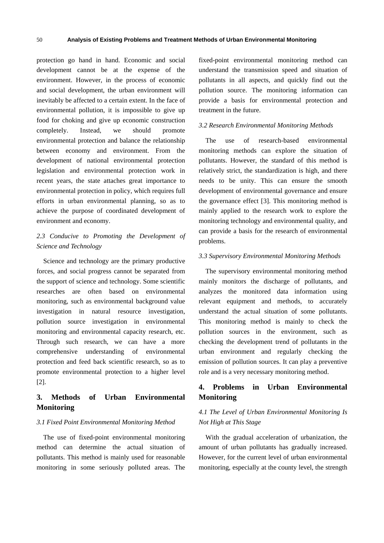protection go hand in hand. Economic and social development cannot be at the expense of the environment. However, in the process of economic and social development, the urban environment will inevitably be affected to a certain extent. In the face of environmental pollution, it is impossible to give up food for choking and give up economic construction completely. Instead, we should promote environmental protection and balance the relationship between economy and environment. From the development of national environmental protection legislation and environmental protection work in recent years, the state attaches great importance to environmental protection in policy, which requires full efforts in urban environmental planning, so as to achieve the purpose of coordinated development of environment and economy.

# *2.3 Conducive to Promoting the Development of Science and Technology*

Science and technology are the primary productive forces, and social progress cannot be separated from the support of science and technology. Some scientific researches are often based on environmental monitoring, such as environmental background value investigation in natural resource investigation, pollution source investigation in environmental monitoring and environmental capacity research, etc. Through such research, we can have a more comprehensive understanding of environmental protection and feed back scientific research, so as to promote environmental protection to a higher level [2].

## **3. Methods of Urban Environmental Monitoring**

#### *3.1 Fixed Point Environmental Monitoring Method*

The use of fixed-point environmental monitoring method can determine the actual situation of pollutants. This method is mainly used for reasonable monitoring in some seriously polluted areas. The fixed-point environmental monitoring method can understand the transmission speed and situation of pollutants in all aspects, and quickly find out the pollution source. The monitoring information can provide a basis for environmental protection and treatment in the future.

#### *3.2 Research Environmental Monitoring Methods*

The use of research-based environmental monitoring methods can explore the situation of pollutants. However, the standard of this method is relatively strict, the standardization is high, and there needs to be unity. This can ensure the smooth development of environmental governance and ensure the governance effect [3]. This monitoring method is mainly applied to the research work to explore the monitoring technology and environmental quality, and can provide a basis for the research of environmental problems.

#### *3.3 Supervisory Environmental Monitoring Methods*

The supervisory environmental monitoring method mainly monitors the discharge of pollutants, and analyzes the monitored data information using relevant equipment and methods, to accurately understand the actual situation of some pollutants. This monitoring method is mainly to check the pollution sources in the environment, such as checking the development trend of pollutants in the urban environment and regularly checking the emission of pollution sources. It can play a preventive role and is a very necessary monitoring method.

## **4. Problems in Urban Environmental Monitoring**

#### *4.1 The Level of Urban Environmental Monitoring Is Not High at This Stage*

With the gradual acceleration of urbanization, the amount of urban pollutants has gradually increased. However, for the current level of urban environmental monitoring, especially at the county level, the strength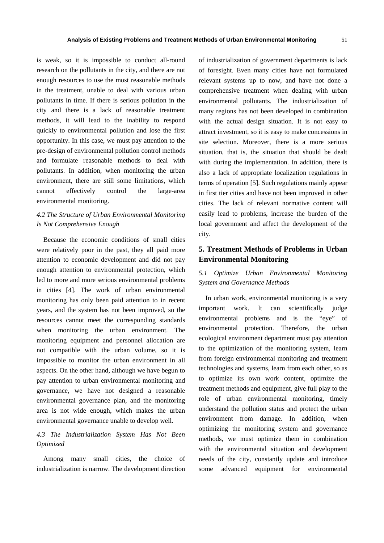is weak, so it is impossible to conduct all-round research on the pollutants in the city, and there are not enough resources to use the most reasonable methods in the treatment, unable to deal with various urban pollutants in time. If there is serious pollution in the city and there is a lack of reasonable treatment methods, it will lead to the inability to respond quickly to environmental pollution and lose the first opportunity. In this case, we must pay attention to the pre-design of environmental pollution control methods and formulate reasonable methods to deal with pollutants. In addition, when monitoring the urban environment, there are still some limitations, which cannot effectively control the large-area environmental monitoring.

#### *4.2 The Structure of Urban Environmental Monitoring Is Not Comprehensive Enough*

Because the economic conditions of small cities were relatively poor in the past, they all paid more attention to economic development and did not pay enough attention to environmental protection, which led to more and more serious environmental problems in cities [4]. The work of urban environmental monitoring has only been paid attention to in recent years, and the system has not been improved, so the resources cannot meet the corresponding standards when monitoring the urban environment. The monitoring equipment and personnel allocation are not compatible with the urban volume, so it is impossible to monitor the urban environment in all aspects. On the other hand, although we have begun to pay attention to urban environmental monitoring and governance, we have not designed a reasonable environmental governance plan, and the monitoring area is not wide enough, which makes the urban environmental governance unable to develop well.

#### *4.3 The Industrialization System Has Not Been Optimized*

Among many small cities, the choice of industrialization is narrow. The development direction

of industrialization of government departments is lack of foresight. Even many cities have not formulated relevant systems up to now, and have not done a comprehensive treatment when dealing with urban environmental pollutants. The industrialization of many regions has not been developed in combination with the actual design situation. It is not easy to attract investment, so it is easy to make concessions in site selection. Moreover, there is a more serious situation, that is, the situation that should be dealt with during the implementation. In addition, there is also a lack of appropriate localization regulations in terms of operation [5]. Such regulations mainly appear in first tier cities and have not been improved in other cities. The lack of relevant normative content will easily lead to problems, increase the burden of the local government and affect the development of the city.

# **5. Treatment Methods of Problems in Urban Environmental Monitoring**

#### *5.1 Optimize Urban Environmental Monitoring System and Governance Methods*

In urban work, environmental monitoring is a very important work. It can scientifically judge environmental problems and is the "eye" of environmental protection. Therefore, the urban ecological environment department must pay attention to the optimization of the monitoring system, learn from foreign environmental monitoring and treatment technologies and systems, learn from each other, so as to optimize its own work content, optimize the treatment methods and equipment, give full play to the role of urban environmental monitoring, timely understand the pollution status and protect the urban environment from damage. In addition, when optimizing the monitoring system and governance methods, we must optimize them in combination with the environmental situation and development needs of the city, constantly update and introduce some advanced equipment for environmental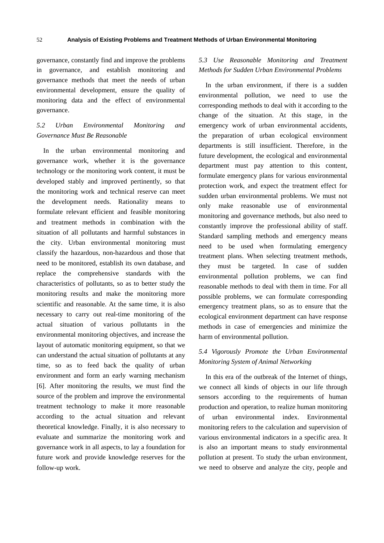governance, constantly find and improve the problems in governance, and establish monitoring and governance methods that meet the needs of urban environmental development, ensure the quality of monitoring data and the effect of environmental governance.

## *5.2 Urban Environmental Monitoring and Governance Must Be Reasonable*

In the urban environmental monitoring and governance work, whether it is the governance technology or the monitoring work content, it must be developed stably and improved pertinently, so that the monitoring work and technical reserve can meet the development needs. Rationality means to formulate relevant efficient and feasible monitoring and treatment methods in combination with the situation of all pollutants and harmful substances in the city. Urban environmental monitoring must classify the hazardous, non-hazardous and those that need to be monitored, establish its own database, and replace the comprehensive standards with the characteristics of pollutants, so as to better study the monitoring results and make the monitoring more scientific and reasonable. At the same time, it is also necessary to carry out real-time monitoring of the actual situation of various pollutants in the environmental monitoring objectives, and increase the layout of automatic monitoring equipment, so that we can understand the actual situation of pollutants at any time, so as to feed back the quality of urban environment and form an early warning mechanism [6]. After monitoring the results, we must find the source of the problem and improve the environmental treatment technology to make it more reasonable according to the actual situation and relevant theoretical knowledge. Finally, it is also necessary to evaluate and summarize the monitoring work and governance work in all aspects, to lay a foundation for future work and provide knowledge reserves for the follow-up work.

## *5.3 Use Reasonable Monitoring and Treatment Methods for Sudden Urban Environmental Problems*

In the urban environment, if there is a sudden environmental pollution, we need to use the corresponding methods to deal with it according to the change of the situation. At this stage, in the emergency work of urban environmental accidents, the preparation of urban ecological environment departments is still insufficient. Therefore, in the future development, the ecological and environmental department must pay attention to this content, formulate emergency plans for various environmental protection work, and expect the treatment effect for sudden urban environmental problems. We must not only make reasonable use of environmental monitoring and governance methods, but also need to constantly improve the professional ability of staff. Standard sampling methods and emergency means need to be used when formulating emergency treatment plans. When selecting treatment methods, they must be targeted. In case of sudden environmental pollution problems, we can find reasonable methods to deal with them in time. For all possible problems, we can formulate corresponding emergency treatment plans, so as to ensure that the ecological environment department can have response methods in case of emergencies and minimize the harm of environmental pollution.

## *5.4 Vigorously Promote the Urban Environmental Monitoring System of Animal Networking*

In this era of the outbreak of the Internet of things, we connect all kinds of objects in our life through sensors according to the requirements of human production and operation, to realize human monitoring of urban environmental index. Environmental monitoring refers to the calculation and supervision of various environmental indicators in a specific area. It is also an important means to study environmental pollution at present. To study the urban environment, we need to observe and analyze the city, people and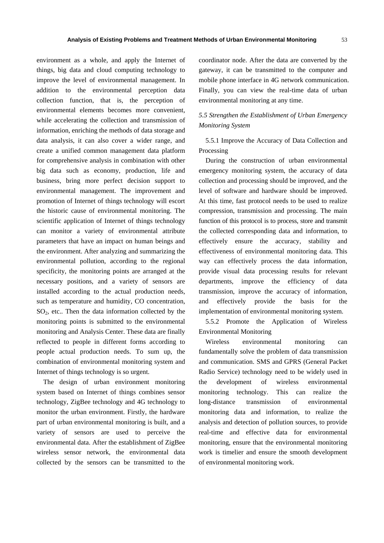environment as a whole, and apply the Internet of things, big data and cloud computing technology to improve the level of environmental management. In addition to the environmental perception data collection function, that is, the perception of environmental elements becomes more convenient, while accelerating the collection and transmission of information, enriching the methods of data storage and data analysis, it can also cover a wider range, and create a unified common management data platform for comprehensive analysis in combination with other big data such as economy, production, life and business, bring more perfect decision support to environmental management. The improvement and promotion of Internet of things technology will escort the historic cause of environmental monitoring. The scientific application of Internet of things technology can monitor a variety of environmental attribute parameters that have an impact on human beings and the environment. After analyzing and summarizing the environmental pollution, according to the regional specificity, the monitoring points are arranged at the necessary positions, and a variety of sensors are installed according to the actual production needs, such as temperature and humidity, CO concentration, SO2, etc.. Then the data information collected by the monitoring points is submitted to the environmental monitoring and Analysis Center. These data are finally reflected to people in different forms according to people actual production needs. To sum up, the combination of environmental monitoring system and Internet of things technology is so urgent.

The design of urban environment monitoring system based on Internet of things combines sensor technology, ZigBee technology and 4G technology to monitor the urban environment. Firstly, the hardware part of urban environmental monitoring is built, and a variety of sensors are used to perceive the environmental data. After the establishment of ZigBee wireless sensor network, the environmental data collected by the sensors can be transmitted to the coordinator node. After the data are converted by the gateway, it can be transmitted to the computer and mobile phone interface in 4G network communication. Finally, you can view the real-time data of urban environmental monitoring at any time.

#### *5.5 Strengthen the Establishment of Urban Emergency Monitoring System*

5.5.1 Improve the Accuracy of Data Collection and Processing

During the construction of urban environmental emergency monitoring system, the accuracy of data collection and processing should be improved, and the level of software and hardware should be improved. At this time, fast protocol needs to be used to realize compression, transmission and processing. The main function of this protocol is to process, store and transmit the collected corresponding data and information, to effectively ensure the accuracy, stability and effectiveness of environmental monitoring data. This way can effectively process the data information, provide visual data processing results for relevant departments, improve the efficiency of data transmission, improve the accuracy of information, and effectively provide the basis for the implementation of environmental monitoring system.

5.5.2 Promote the Application of Wireless Environmental Monitoring

Wireless environmental monitoring can fundamentally solve the problem of data transmission and communication. SMS and GPRS (General Packet Radio Service) technology need to be widely used in the development of wireless environmental monitoring technology. This can realize the long-distance transmission of environmental monitoring data and information, to realize the analysis and detection of pollution sources, to provide real-time and effective data for environmental monitoring, ensure that the environmental monitoring work is timelier and ensure the smooth development of environmental monitoring work.